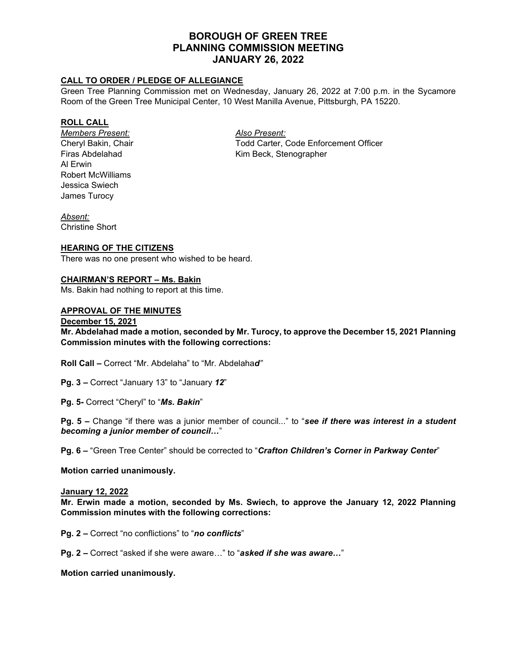# **BOROUGH OF GREEN TREE PLANNING COMMISSION MEETING JANUARY 26, 2022**

## **CALL TO ORDER / PLEDGE OF ALLEGIANCE**

Green Tree Planning Commission met on Wednesday, January 26, 2022 at 7:00 p.m. in the Sycamore Room of the Green Tree Municipal Center, 10 West Manilla Avenue, Pittsburgh, PA 15220.

## **ROLL CALL**

*Members Present: Also Present:* Al Erwin Robert McWilliams Jessica Swiech James Turocy

Cheryl Bakin, Chair Todd Carter, Code Enforcement Officer Firas Abdelahad Kim Beck, Stenographer

*Absent:* Christine Short

## **HEARING OF THE CITIZENS**

There was no one present who wished to be heard.

#### **CHAIRMAN'S REPORT – Ms. Bakin**

Ms. Bakin had nothing to report at this time.

## **APPROVAL OF THE MINUTES**

#### **December 15, 2021**

**Mr. Abdelahad made a motion, seconded by Mr. Turocy, to approve the December 15, 2021 Planning Commission minutes with the following corrections:**

**Roll Call –** Correct "Mr. Abdelaha" to "Mr. Abdelaha*d"*

**Pg. 3 –** Correct "January 13" to "January *12*"

**Pg. 5-** Correct "Cheryl" to "*Ms. Bakin*"

**Pg. 5 –** Change "if there was a junior member of council..." to "*see if there was interest in a student becoming a junior member of council…*"

**Pg. 6 –** "Green Tree Center" should be corrected to "*Crafton Children's Corner in Parkway Center*"

#### **Motion carried unanimously.**

#### **January 12, 2022**

**Mr. Erwin made a motion, seconded by Ms. Swiech, to approve the January 12, 2022 Planning Commission minutes with the following corrections:**

**Pg. 2 –** Correct "no conflictions" to "*no conflicts*"

**Pg. 2 –** Correct "asked if she were aware…" to "*asked if she was aware…*"

#### **Motion carried unanimously.**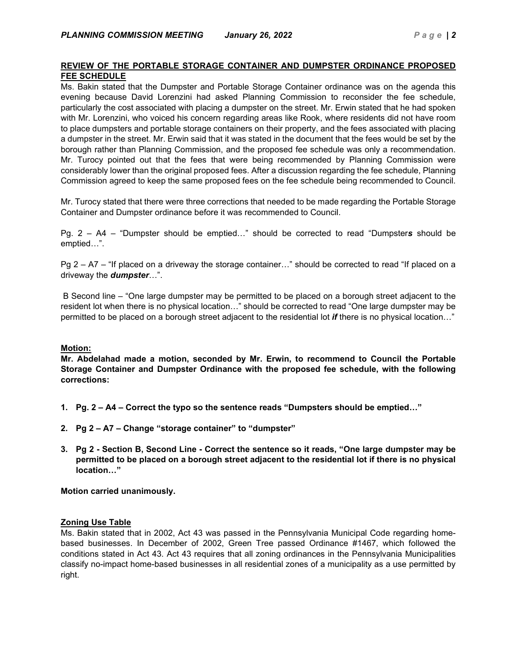## **REVIEW OF THE PORTABLE STORAGE CONTAINER AND DUMPSTER ORDINANCE PROPOSED FEE SCHEDULE**

Ms. Bakin stated that the Dumpster and Portable Storage Container ordinance was on the agenda this evening because David Lorenzini had asked Planning Commission to reconsider the fee schedule, particularly the cost associated with placing a dumpster on the street. Mr. Erwin stated that he had spoken with Mr. Lorenzini, who voiced his concern regarding areas like Rook, where residents did not have room to place dumpsters and portable storage containers on their property, and the fees associated with placing a dumpster in the street. Mr. Erwin said that it was stated in the document that the fees would be set by the borough rather than Planning Commission, and the proposed fee schedule was only a recommendation. Mr. Turocy pointed out that the fees that were being recommended by Planning Commission were considerably lower than the original proposed fees. After a discussion regarding the fee schedule, Planning Commission agreed to keep the same proposed fees on the fee schedule being recommended to Council.

Mr. Turocy stated that there were three corrections that needed to be made regarding the Portable Storage Container and Dumpster ordinance before it was recommended to Council.

Pg. 2 – A4 – "Dumpster should be emptied…" should be corrected to read "Dumpster*s* should be emptied…".

Pg 2 – A7 – "If placed on a driveway the storage container…" should be corrected to read "If placed on a driveway the *dumpster*…".

B Second line – "One large dumpster may be permitted to be placed on a borough street adjacent to the resident lot when there is no physical location…" should be corrected to read "One large dumpster may be permitted to be placed on a borough street adjacent to the residential lot *if* there is no physical location…"

## **Motion:**

**Mr. Abdelahad made a motion, seconded by Mr. Erwin, to recommend to Council the Portable Storage Container and Dumpster Ordinance with the proposed fee schedule, with the following corrections:**

- **1. Pg. 2 A4 Correct the typo so the sentence reads "Dumpsters should be emptied…"**
- **2. Pg 2 A7 Change "storage container" to "dumpster"**
- **3. Pg 2 Section B, Second Line Correct the sentence so it reads, "One large dumpster may be permitted to be placed on a borough street adjacent to the residential lot if there is no physical location…"**

**Motion carried unanimously.**

## **Zoning Use Table**

Ms. Bakin stated that in 2002, Act 43 was passed in the Pennsylvania Municipal Code regarding homebased businesses. In December of 2002, Green Tree passed Ordinance #1467, which followed the conditions stated in Act 43. Act 43 requires that all zoning ordinances in the Pennsylvania Municipalities classify no-impact home-based businesses in all residential zones of a municipality as a use permitted by right.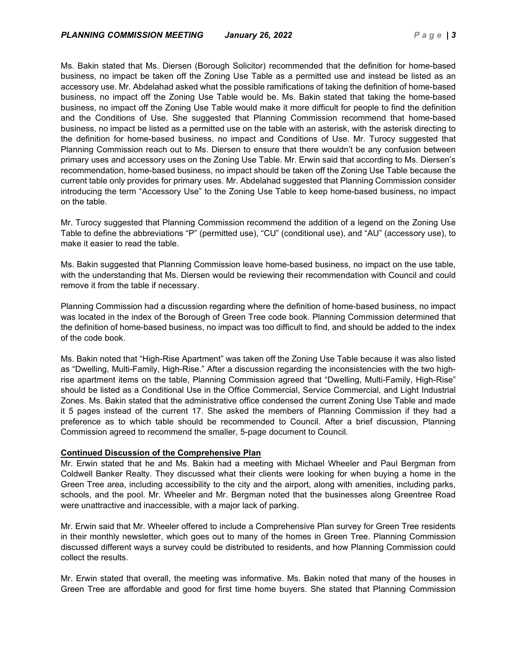Ms. Bakin stated that Ms. Diersen (Borough Solicitor) recommended that the definition for home-based business, no impact be taken off the Zoning Use Table as a permitted use and instead be listed as an accessory use. Mr. Abdelahad asked what the possible ramifications of taking the definition of home-based business, no impact off the Zoning Use Table would be. Ms. Bakin stated that taking the home-based business, no impact off the Zoning Use Table would make it more difficult for people to find the definition and the Conditions of Use. She suggested that Planning Commission recommend that home-based business, no impact be listed as a permitted use on the table with an asterisk, with the asterisk directing to the definition for home-based business, no impact and Conditions of Use. Mr. Turocy suggested that Planning Commission reach out to Ms. Diersen to ensure that there wouldn't be any confusion between primary uses and accessory uses on the Zoning Use Table. Mr. Erwin said that according to Ms. Diersen's recommendation, home-based business, no impact should be taken off the Zoning Use Table because the current table only provides for primary uses. Mr. Abdelahad suggested that Planning Commission consider introducing the term "Accessory Use" to the Zoning Use Table to keep home-based business, no impact on the table.

Mr. Turocy suggested that Planning Commission recommend the addition of a legend on the Zoning Use Table to define the abbreviations "P" (permitted use), "CU" (conditional use), and "AU" (accessory use), to make it easier to read the table.

Ms. Bakin suggested that Planning Commission leave home-based business, no impact on the use table, with the understanding that Ms. Diersen would be reviewing their recommendation with Council and could remove it from the table if necessary.

Planning Commission had a discussion regarding where the definition of home-based business, no impact was located in the index of the Borough of Green Tree code book. Planning Commission determined that the definition of home-based business, no impact was too difficult to find, and should be added to the index of the code book.

Ms. Bakin noted that "High-Rise Apartment" was taken off the Zoning Use Table because it was also listed as "Dwelling, Multi-Family, High-Rise." After a discussion regarding the inconsistencies with the two highrise apartment items on the table, Planning Commission agreed that "Dwelling, Multi-Family, High-Rise" should be listed as a Conditional Use in the Office Commercial, Service Commercial, and Light Industrial Zones. Ms. Bakin stated that the administrative office condensed the current Zoning Use Table and made it 5 pages instead of the current 17. She asked the members of Planning Commission if they had a preference as to which table should be recommended to Council. After a brief discussion, Planning Commission agreed to recommend the smaller, 5-page document to Council.

## **Continued Discussion of the Comprehensive Plan**

Mr. Erwin stated that he and Ms. Bakin had a meeting with Michael Wheeler and Paul Bergman from Coldwell Banker Realty. They discussed what their clients were looking for when buying a home in the Green Tree area, including accessibility to the city and the airport, along with amenities, including parks, schools, and the pool. Mr. Wheeler and Mr. Bergman noted that the businesses along Greentree Road were unattractive and inaccessible, with a major lack of parking.

Mr. Erwin said that Mr. Wheeler offered to include a Comprehensive Plan survey for Green Tree residents in their monthly newsletter, which goes out to many of the homes in Green Tree. Planning Commission discussed different ways a survey could be distributed to residents, and how Planning Commission could collect the results.

Mr. Erwin stated that overall, the meeting was informative. Ms. Bakin noted that many of the houses in Green Tree are affordable and good for first time home buyers. She stated that Planning Commission